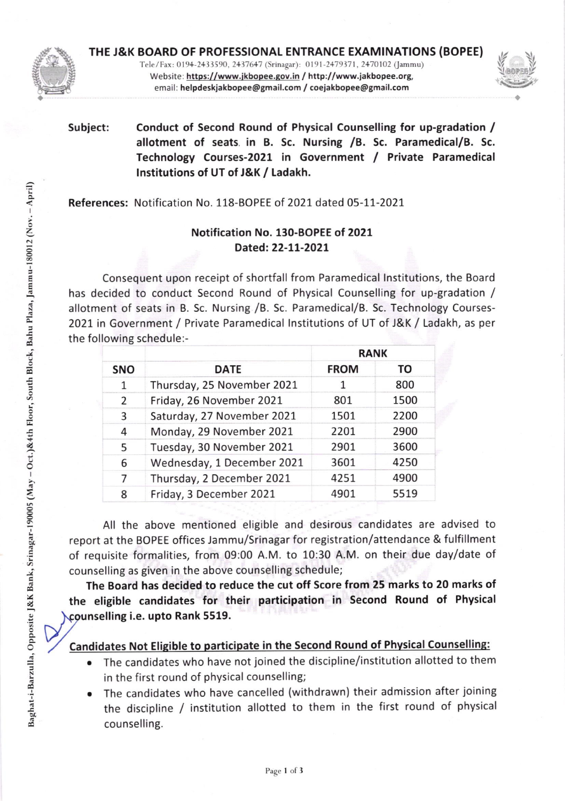

THE J&K BOARD OF PROFESSIONAL ENTRANCE EXAMINATIONS (BOPEE} Tele/Fax: 0194-2433590, 2437647 (Srinagar): 0191-2479371, 2470102 (Jammu) Website: https://www.jkbopee.gov.in / http://www.jakbopee.org, email: helpdeskjakbopee@gmail.com / coejakbopee@gmail.com



# Subject: Conduct of Second Round of Physical Counselling for up-gradation / allotment of seats. in B. Sc. Nursing /8. Sc. Paramedical/B. Sc. Technology Courses-2021 in Government / Private Paramedical lnstitutions of UT of J&K / Ladakh.

References: Notification No. 118-BOPEE of 2021 dated 05-11-2021

## Notification No. 130-BOPEE of 2O2L Dated:22-11-2021

Consequent upon receipt of shortfall from Paramedical lnstitutions, the Board has decided to conduct Second Round of Physical Counselling for up-gradation / allotment of seats in B. Sc. Nursing /B. Sc. Paramedical/B. Sc. Technology Courses-2021 in Government / Private Paramedical lnstitutions of UT of J&K / Ladakh, as per the following schedule:-

| <b>SNO</b> | <b>DATE</b>                | <b>RANK</b> |      |
|------------|----------------------------|-------------|------|
|            |                            | <b>FROM</b> | TO   |
| 1          | Thursday, 25 November 2021 | 1           | 800  |
| 2          | Friday, 26 November 2021   | 801         | 1500 |
| 3          | Saturday, 27 November 2021 | 1501        | 2200 |
| 4          | Monday, 29 November 2021   | 2201        | 2900 |
| 5          | Tuesday, 30 November 2021  | 2901        | 3600 |
| 6          | Wednesday, 1 December 2021 | 3601        | 4250 |
| 7          | Thursday, 2 December 2021  | 4251        | 4900 |
| 8          | Friday, 3 December 2021    | 4901        | 5519 |

All the above mentioned eligible and desirous candidates are advised to report at the BOPEE offices Jammu/Srinagar for registration/attendance & fulfillment of requisite formalities, from 09:00 A.M. to 10:30 A.M. on their due day/date of counselling as given in the above counselling schedule;

The Board has decided to reduce the cut off Score from 25 marks to 20 marks of the eligible candidates for their participation in Second Round of Physical counselling i.e. upto Rank 5519.

## Candidates Not Eligible to participate in the Second Round of Physical Counselling:

- The candidates who have not joined the discipline/institution allotted to them in the first round of physical counselling; a
- The candidates who have cancelled (withdrawn) their admission after joining the discipline / institution allotted to them in the first round of physical counselling. a